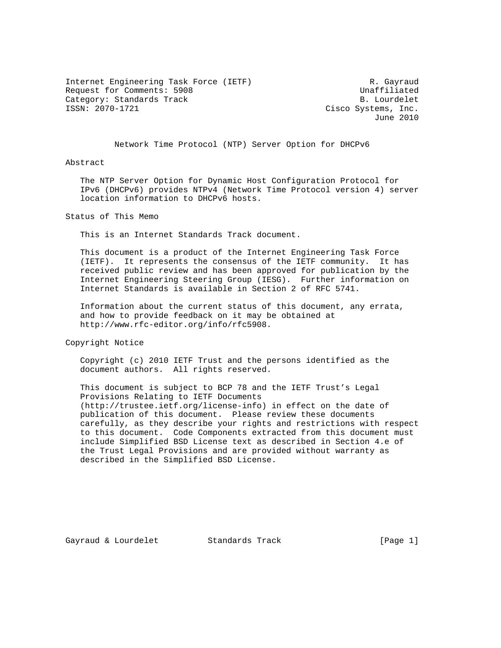Internet Engineering Task Force (IETF) R. Gayraud Request for Comments: 5908 Unaffiliated Category: Standards Track and the category: Standards Track and the category: Standards Track B. Lourdelet

Cisco Systems, Inc. June 2010

Network Time Protocol (NTP) Server Option for DHCPv6

### Abstract

 The NTP Server Option for Dynamic Host Configuration Protocol for IPv6 (DHCPv6) provides NTPv4 (Network Time Protocol version 4) server location information to DHCPv6 hosts.

Status of This Memo

This is an Internet Standards Track document.

 This document is a product of the Internet Engineering Task Force (IETF). It represents the consensus of the IETF community. It has received public review and has been approved for publication by the Internet Engineering Steering Group (IESG). Further information on Internet Standards is available in Section 2 of RFC 5741.

 Information about the current status of this document, any errata, and how to provide feedback on it may be obtained at http://www.rfc-editor.org/info/rfc5908.

Copyright Notice

 Copyright (c) 2010 IETF Trust and the persons identified as the document authors. All rights reserved.

 This document is subject to BCP 78 and the IETF Trust's Legal Provisions Relating to IETF Documents (http://trustee.ietf.org/license-info) in effect on the date of publication of this document. Please review these documents carefully, as they describe your rights and restrictions with respect to this document. Code Components extracted from this document must include Simplified BSD License text as described in Section 4.e of the Trust Legal Provisions and are provided without warranty as described in the Simplified BSD License.

Gayraud & Lourdelet **Standards Track** [Page 1]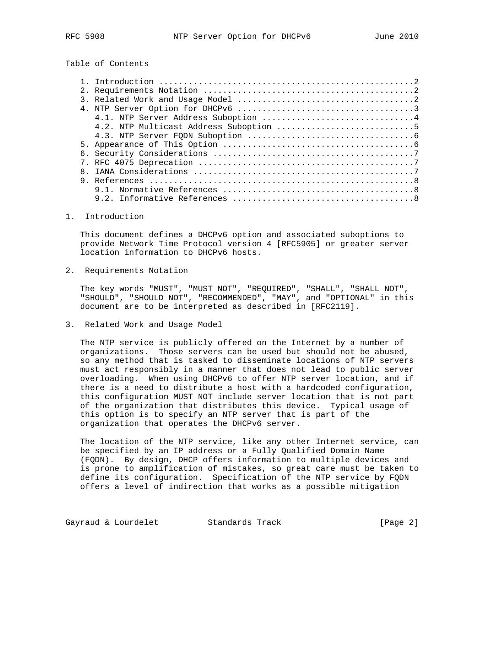# Table of Contents

## 1. Introduction

 This document defines a DHCPv6 option and associated suboptions to provide Network Time Protocol version 4 [RFC5905] or greater server location information to DHCPv6 hosts.

2. Requirements Notation

 The key words "MUST", "MUST NOT", "REQUIRED", "SHALL", "SHALL NOT", "SHOULD", "SHOULD NOT", "RECOMMENDED", "MAY", and "OPTIONAL" in this document are to be interpreted as described in [RFC2119].

3. Related Work and Usage Model

 The NTP service is publicly offered on the Internet by a number of organizations. Those servers can be used but should not be abused, so any method that is tasked to disseminate locations of NTP servers must act responsibly in a manner that does not lead to public server overloading. When using DHCPv6 to offer NTP server location, and if there is a need to distribute a host with a hardcoded configuration, this configuration MUST NOT include server location that is not part of the organization that distributes this device. Typical usage of this option is to specify an NTP server that is part of the organization that operates the DHCPv6 server.

 The location of the NTP service, like any other Internet service, can be specified by an IP address or a Fully Qualified Domain Name (FQDN). By design, DHCP offers information to multiple devices and is prone to amplification of mistakes, so great care must be taken to define its configuration. Specification of the NTP service by FQDN offers a level of indirection that works as a possible mitigation

Gayraud & Lourdelet Standards Track [Page 2]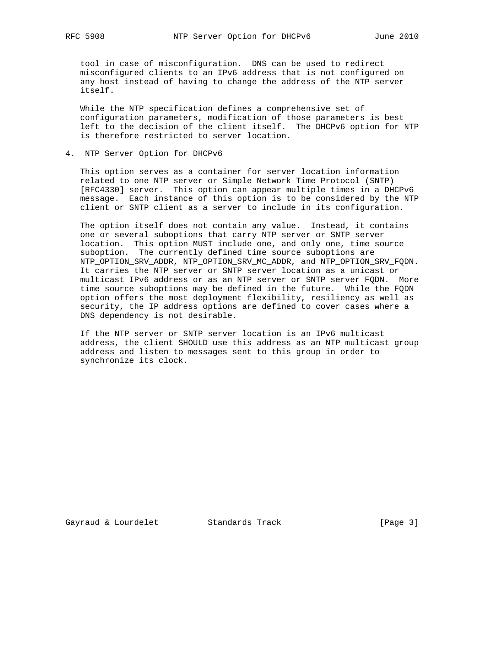tool in case of misconfiguration. DNS can be used to redirect misconfigured clients to an IPv6 address that is not configured on any host instead of having to change the address of the NTP server itself.

 While the NTP specification defines a comprehensive set of configuration parameters, modification of those parameters is best left to the decision of the client itself. The DHCPv6 option for NTP is therefore restricted to server location.

4. NTP Server Option for DHCPv6

 This option serves as a container for server location information related to one NTP server or Simple Network Time Protocol (SNTP) [RFC4330] server. This option can appear multiple times in a DHCPv6 message. Each instance of this option is to be considered by the NTP client or SNTP client as a server to include in its configuration.

 The option itself does not contain any value. Instead, it contains one or several suboptions that carry NTP server or SNTP server location. This option MUST include one, and only one, time source suboption. The currently defined time source suboptions are NTP\_OPTION\_SRV\_ADDR, NTP\_OPTION\_SRV\_MC\_ADDR, and NTP\_OPTION\_SRV\_FQDN. It carries the NTP server or SNTP server location as a unicast or multicast IPv6 address or as an NTP server or SNTP server FQDN. More time source suboptions may be defined in the future. While the FQDN option offers the most deployment flexibility, resiliency as well as security, the IP address options are defined to cover cases where a DNS dependency is not desirable.

 If the NTP server or SNTP server location is an IPv6 multicast address, the client SHOULD use this address as an NTP multicast group address and listen to messages sent to this group in order to synchronize its clock.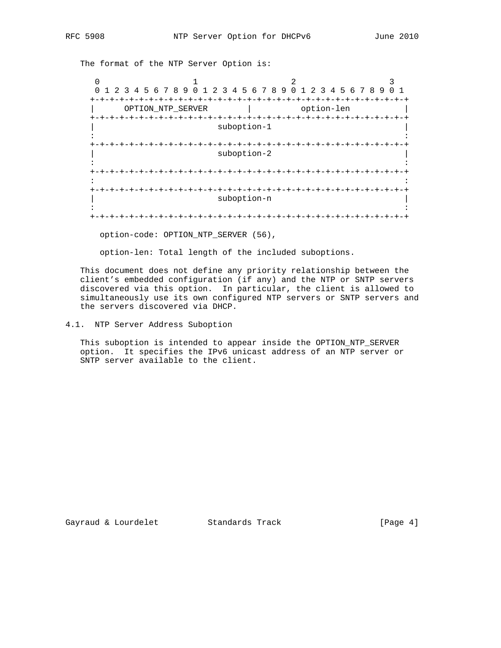The format of the NTP Server Option is:

0  $1$   $2$   $3$  0 1 2 3 4 5 6 7 8 9 0 1 2 3 4 5 6 7 8 9 0 1 2 3 4 5 6 7 8 9 0 1 +-+-+-+-+-+-+-+-+-+-+-+-+-+-+-+-+-+-+-+-+-+-+-+-+-+-+-+-+-+-+-+-+ | OPTION\_NTP\_SERVER | option-len | +-+-+-+-+-+-+-+-+-+-+-+-+-+-+-+-+-+-+-+-+-+-+-+-+-+-+-+-+-+-+-+-+ suboption-1 in the second contract of the second contract of the second contract of the second contract of the second contract of the second contract of the second contract of the second contract of the second contract of the second c +-+-+-+-+-+-+-+-+-+-+-+-+-+-+-+-+-+-+-+-+-+-+-+-+-+-+-+-+-+-+-+-+ suboption-2 in the second contract of the second contract of the second contract of the second contract of the second contract of the second contract of the second contract of the second contract of the second contract of the second c +-+-+-+-+-+-+-+-+-+-+-+-+-+-+-+-+-+-+-+-+-+-+-+-+-+-+-+-+-+-+-+-+ in the second contract of the second contract of the second contract of the second contract of the second contract of the second contract of the second contract of the second contract of the second contract of the second c +-+-+-+-+-+-+-+-+-+-+-+-+-+-+-+-+-+-+-+-+-+-+-+-+-+-+-+-+-+-+-+-+ suboption-n in the second contract of the second contract of the second contract of the second contract of the second contract of the second contract of the second contract of the second contract of the second contract of the second c +-+-+-+-+-+-+-+-+-+-+-+-+-+-+-+-+-+-+-+-+-+-+-+-+-+-+-+-+-+-+-+-+

option-code: OPTION\_NTP\_SERVER (56),

option-len: Total length of the included suboptions.

 This document does not define any priority relationship between the client's embedded configuration (if any) and the NTP or SNTP servers discovered via this option. In particular, the client is allowed to simultaneously use its own configured NTP servers or SNTP servers and the servers discovered via DHCP.

# 4.1. NTP Server Address Suboption

 This suboption is intended to appear inside the OPTION\_NTP\_SERVER option. It specifies the IPv6 unicast address of an NTP server or SNTP server available to the client.

Gayraud & Lourdelet Standards Track [Page 4]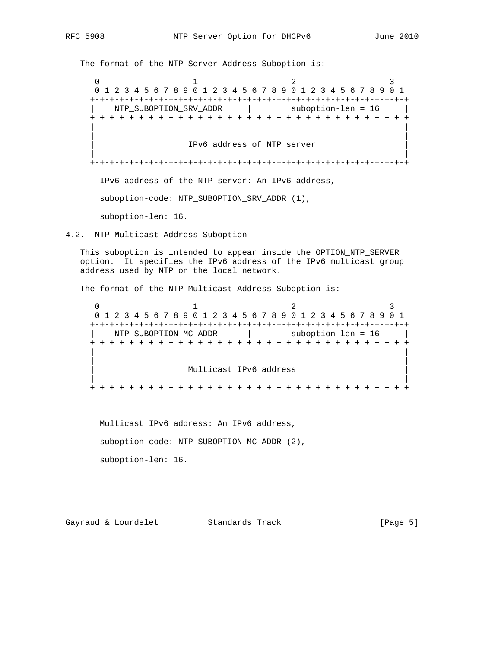The format of the NTP Server Address Suboption is:

0  $1$   $2$   $3$  0 1 2 3 4 5 6 7 8 9 0 1 2 3 4 5 6 7 8 9 0 1 2 3 4 5 6 7 8 9 0 1 +-+-+-+-+-+-+-+-+-+-+-+-+-+-+-+-+-+-+-+-+-+-+-+-+-+-+-+-+-+-+-+-+ NTP\_SUBOPTION\_SRV\_ADDR | suboption-len = 16 +-+-+-+-+-+-+-+-+-+-+-+-+-+-+-+-+-+-+-+-+-+-+-+-+-+-+-+-+-+-+-+-+ | | | | | IPv6 address of NTP server | | | +-+-+-+-+-+-+-+-+-+-+-+-+-+-+-+-+-+-+-+-+-+-+-+-+-+-+-+-+-+-+-+-+ IPv6 address of the NTP server: An IPv6 address, suboption-code: NTP\_SUBOPTION\_SRV\_ADDR (1), suboption-len: 16.

4.2. NTP Multicast Address Suboption

 This suboption is intended to appear inside the OPTION\_NTP\_SERVER option. It specifies the IPv6 address of the IPv6 multicast group address used by NTP on the local network.

The format of the NTP Multicast Address Suboption is:

 $0$  and  $1$  and  $2$  3 0 1 2 3 4 5 6 7 8 9 0 1 2 3 4 5 6 7 8 9 0 1 2 3 4 5 6 7 8 9 0 1 +-+-+-+-+-+-+-+-+-+-+-+-+-+-+-+-+-+-+-+-+-+-+-+-+-+-+-+-+-+-+-+-+ NTP\_SUBOPTION\_MC\_ADDR | suboption-len = 16 +-+-+-+-+-+-+-+-+-+-+-+-+-+-+-+-+-+-+-+-+-+-+-+-+-+-+-+-+-+-+-+-+ | | | | Multicast IPv6 address | | +-+-+-+-+-+-+-+-+-+-+-+-+-+-+-+-+-+-+-+-+-+-+-+-+-+-+-+-+-+-+-+-+

 Multicast IPv6 address: An IPv6 address, suboption-code: NTP\_SUBOPTION\_MC\_ADDR (2), suboption-len: 16.

Gayraud & Lourdelet Standards Track [Page 5]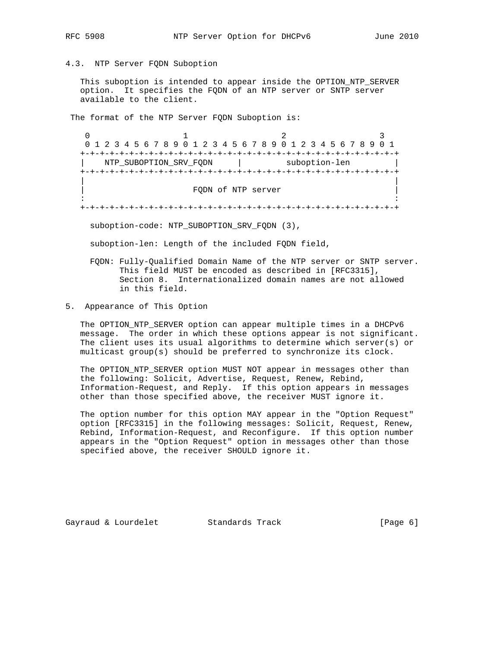4.3. NTP Server FQDN Suboption

 This suboption is intended to appear inside the OPTION\_NTP\_SERVER option. It specifies the FQDN of an NTP server or SNTP server available to the client.

The format of the NTP Server FQDN Suboption is:

0  $1$  2 3 0 1 2 3 4 5 6 7 8 9 0 1 2 3 4 5 6 7 8 9 0 1 2 3 4 5 6 7 8 9 0 1 +-+-+-+-+-+-+-+-+-+-+-+-+-+-+-+-+-+-+-+-+-+-+-+-+-+-+-+-+-+-+-+-+ NTP\_SUBOPTION\_SRV\_FQDN | suboption-len +-+-+-+-+-+-+-+-+-+-+-+-+-+-+-+-+-+-+-+-+-+-+-+-+-+-+-+-+-+-+-+-+ | | | FQDN of NTP server | in the contract of the contract of the contract of the contract of the contract of the contract of the contract +-+-+-+-+-+-+-+-+-+-+-+-+-+-+-+-+-+-+-+-+-+-+-+-+-+-+-+-+-+-+-+-+

suboption-code: NTP\_SUBOPTION\_SRV\_FQDN (3),

suboption-len: Length of the included FQDN field,

- FQDN: Fully-Qualified Domain Name of the NTP server or SNTP server. This field MUST be encoded as described in [RFC3315], Section 8. Internationalized domain names are not allowed in this field.
- 5. Appearance of This Option

 The OPTION\_NTP\_SERVER option can appear multiple times in a DHCPv6 message. The order in which these options appear is not significant. The client uses its usual algorithms to determine which server(s) or multicast group(s) should be preferred to synchronize its clock.

 The OPTION\_NTP\_SERVER option MUST NOT appear in messages other than the following: Solicit, Advertise, Request, Renew, Rebind, Information-Request, and Reply. If this option appears in messages other than those specified above, the receiver MUST ignore it.

 The option number for this option MAY appear in the "Option Request" option [RFC3315] in the following messages: Solicit, Request, Renew, Rebind, Information-Request, and Reconfigure. If this option number appears in the "Option Request" option in messages other than those specified above, the receiver SHOULD ignore it.

Gayraud & Lourdelet Standards Track [Page 6]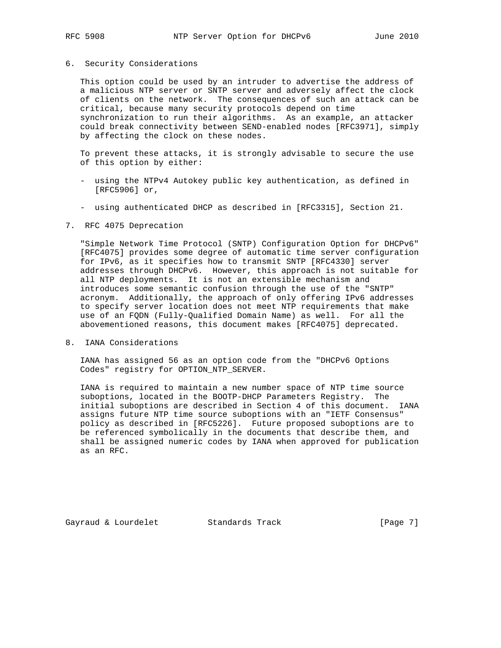## 6. Security Considerations

 This option could be used by an intruder to advertise the address of a malicious NTP server or SNTP server and adversely affect the clock of clients on the network. The consequences of such an attack can be critical, because many security protocols depend on time synchronization to run their algorithms. As an example, an attacker could break connectivity between SEND-enabled nodes [RFC3971], simply by affecting the clock on these nodes.

 To prevent these attacks, it is strongly advisable to secure the use of this option by either:

- using the NTPv4 Autokey public key authentication, as defined in [RFC5906] or,
- using authenticated DHCP as described in [RFC3315], Section 21.

## 7. RFC 4075 Deprecation

 "Simple Network Time Protocol (SNTP) Configuration Option for DHCPv6" [RFC4075] provides some degree of automatic time server configuration for IPv6, as it specifies how to transmit SNTP [RFC4330] server addresses through DHCPv6. However, this approach is not suitable for all NTP deployments. It is not an extensible mechanism and introduces some semantic confusion through the use of the "SNTP" acronym. Additionally, the approach of only offering IPv6 addresses to specify server location does not meet NTP requirements that make use of an FQDN (Fully-Qualified Domain Name) as well. For all the abovementioned reasons, this document makes [RFC4075] deprecated.

8. IANA Considerations

 IANA has assigned 56 as an option code from the "DHCPv6 Options Codes" registry for OPTION\_NTP\_SERVER.

 IANA is required to maintain a new number space of NTP time source suboptions, located in the BOOTP-DHCP Parameters Registry. The initial suboptions are described in Section 4 of this document. IANA assigns future NTP time source suboptions with an "IETF Consensus" policy as described in [RFC5226]. Future proposed suboptions are to be referenced symbolically in the documents that describe them, and shall be assigned numeric codes by IANA when approved for publication as an RFC.

Gayraud & Lourdelet Standards Track [Page 7]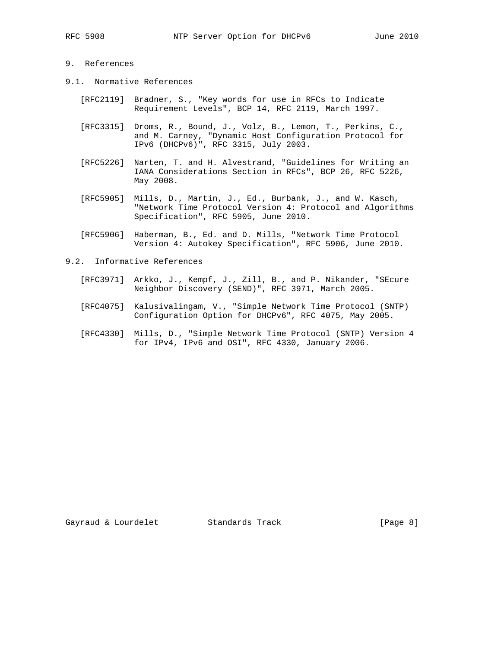## 9. References

- 9.1. Normative References
	- [RFC2119] Bradner, S., "Key words for use in RFCs to Indicate Requirement Levels", BCP 14, RFC 2119, March 1997.
	- [RFC3315] Droms, R., Bound, J., Volz, B., Lemon, T., Perkins, C., and M. Carney, "Dynamic Host Configuration Protocol for IPv6 (DHCPv6)", RFC 3315, July 2003.
	- [RFC5226] Narten, T. and H. Alvestrand, "Guidelines for Writing an IANA Considerations Section in RFCs", BCP 26, RFC 5226, May 2008.
	- [RFC5905] Mills, D., Martin, J., Ed., Burbank, J., and W. Kasch, "Network Time Protocol Version 4: Protocol and Algorithms Specification", RFC 5905, June 2010.
	- [RFC5906] Haberman, B., Ed. and D. Mills, "Network Time Protocol Version 4: Autokey Specification", RFC 5906, June 2010.
- 9.2. Informative References
	- [RFC3971] Arkko, J., Kempf, J., Zill, B., and P. Nikander, "SEcure Neighbor Discovery (SEND)", RFC 3971, March 2005.
	- [RFC4075] Kalusivalingam, V., "Simple Network Time Protocol (SNTP) Configuration Option for DHCPv6", RFC 4075, May 2005.
	- [RFC4330] Mills, D., "Simple Network Time Protocol (SNTP) Version 4 for IPv4, IPv6 and OSI", RFC 4330, January 2006.